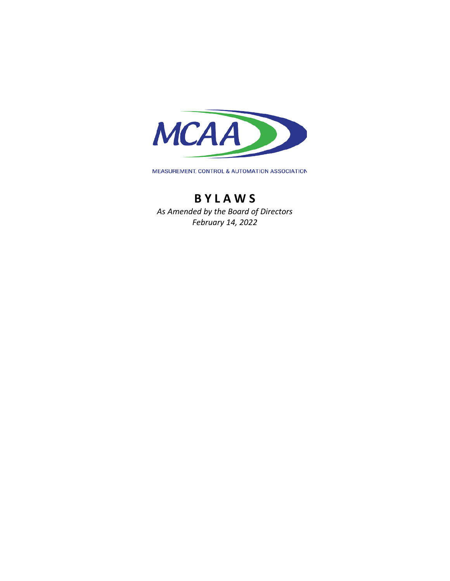

MEASUREMENT, CONTROL & AUTOMATION ASSOCIATION

# **B Y L A W S**

*As Amended by the Board of Directors February 14, 2022*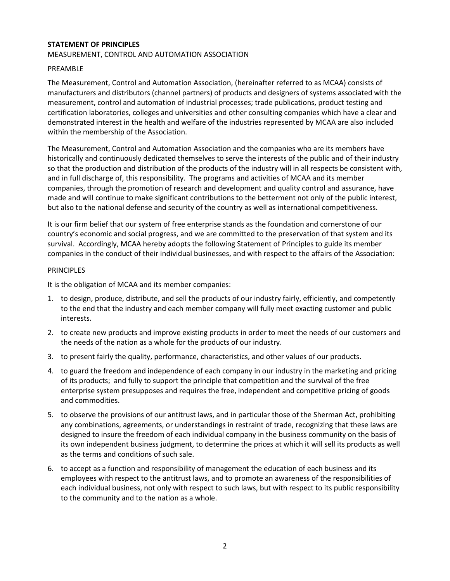# **STATEMENT OF PRINCIPLES** MEASUREMENT, CONTROL AND AUTOMATION ASSOCIATION

## PREAMBLE

The Measurement, Control and Automation Association, (hereinafter referred to as MCAA) consists of manufacturers and distributors (channel partners) of products and designers of systems associated with the measurement, control and automation of industrial processes; trade publications, product testing and certification laboratories, colleges and universities and other consulting companies which have a clear and demonstrated interest in the health and welfare of the industries represented by MCAA are also included within the membership of the Association.

The Measurement, Control and Automation Association and the companies who are its members have historically and continuously dedicated themselves to serve the interests of the public and of their industry so that the production and distribution of the products of the industry will in all respects be consistent with, and in full discharge of, this responsibility. The programs and activities of MCAA and its member companies, through the promotion of research and development and quality control and assurance, have made and will continue to make significant contributions to the betterment not only of the public interest, but also to the national defense and security of the country as well as international competitiveness.

It is our firm belief that our system of free enterprise stands as the foundation and cornerstone of our country's economic and social progress, and we are committed to the preservation of that system and its survival. Accordingly, MCAA hereby adopts the following Statement of Principles to guide its member companies in the conduct of their individual businesses, and with respect to the affairs of the Association:

## PRINCIPLES

It is the obligation of MCAA and its member companies:

- 1. to design, produce, distribute, and sell the products of our industry fairly, efficiently, and competently to the end that the industry and each member company will fully meet exacting customer and public interests.
- 2. to create new products and improve existing products in order to meet the needs of our customers and the needs of the nation as a whole for the products of our industry.
- 3. to present fairly the quality, performance, characteristics, and other values of our products.
- 4. to guard the freedom and independence of each company in our industry in the marketing and pricing of its products; and fully to support the principle that competition and the survival of the free enterprise system presupposes and requires the free, independent and competitive pricing of goods and commodities.
- 5. to observe the provisions of our antitrust laws, and in particular those of the Sherman Act, prohibiting any combinations, agreements, or understandings in restraint of trade, recognizing that these laws are designed to insure the freedom of each individual company in the business community on the basis of its own independent business judgment, to determine the prices at which it will sell its products as well as the terms and conditions of such sale.
- 6. to accept as a function and responsibility of management the education of each business and its employees with respect to the antitrust laws, and to promote an awareness of the responsibilities of each individual business, not only with respect to such laws, but with respect to its public responsibility to the community and to the nation as a whole.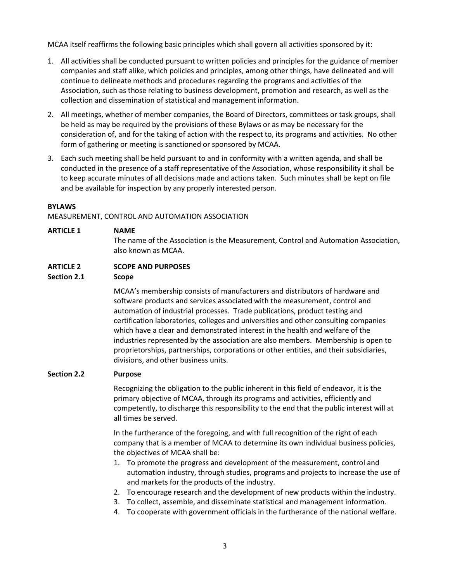MCAA itself reaffirms the following basic principles which shall govern all activities sponsored by it:

- 1. All activities shall be conducted pursuant to written policies and principles for the guidance of member companies and staff alike, which policies and principles, among other things, have delineated and will continue to delineate methods and procedures regarding the programs and activities of the Association, such as those relating to business development, promotion and research, as well as the collection and dissemination of statistical and management information.
- 2. All meetings, whether of member companies, the Board of Directors, committees or task groups, shall be held as may be required by the provisions of these Bylaws or as may be necessary for the consideration of, and for the taking of action with the respect to, its programs and activities. No other form of gathering or meeting is sanctioned or sponsored by MCAA.
- 3. Each such meeting shall be held pursuant to and in conformity with a written agenda, and shall be conducted in the presence of a staff representative of the Association, whose responsibility it shall be to keep accurate minutes of all decisions made and actions taken. Such minutes shall be kept on file and be available for inspection by any properly interested person.

## **BYLAWS**

MEASUREMENT, CONTROL AND AUTOMATION ASSOCIATION

| <b>ARTICLE 1</b> | <b>NAME</b>                                                                         |
|------------------|-------------------------------------------------------------------------------------|
|                  | The name of the Association is the Measurement, Control and Automation Association, |
|                  | also known as MCAA.                                                                 |

# **ARTICLE 2 SCOPE AND PURPOSES**

#### **Section 2.1 Scope**

MCAA's membership consists of manufacturers and distributors of hardware and software products and services associated with the measurement, control and automation of industrial processes. Trade publications, product testing and certification laboratories, colleges and universities and other consulting companies which have a clear and demonstrated interest in the health and welfare of the industries represented by the association are also members. Membership is open to proprietorships, partnerships, corporations or other entities, and their subsidiaries, divisions, and other business units.

#### **Section 2.2 Purpose**

Recognizing the obligation to the public inherent in this field of endeavor, it is the primary objective of MCAA, through its programs and activities, efficiently and competently, to discharge this responsibility to the end that the public interest will at all times be served.

In the furtherance of the foregoing, and with full recognition of the right of each company that is a member of MCAA to determine its own individual business policies, the objectives of MCAA shall be:

- 1. To promote the progress and development of the measurement, control and automation industry, through studies, programs and projects to increase the use of and markets for the products of the industry.
- 2. To encourage research and the development of new products within the industry.
- 3. To collect, assemble, and disseminate statistical and management information.
- 4. To cooperate with government officials in the furtherance of the national welfare.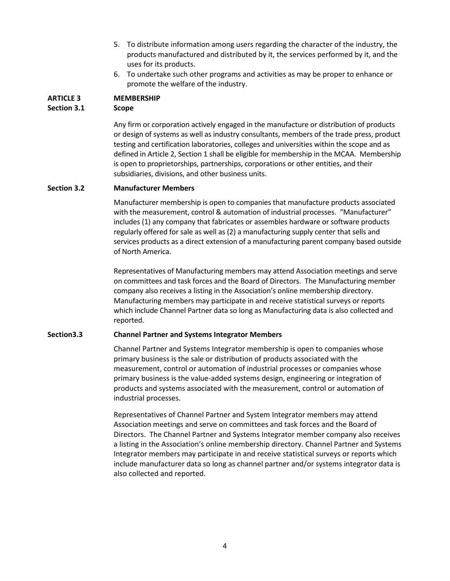- 5. To distribute information among users regarding the character of the industry, the products manufactured and distributed by it, the services performed by it, and the uses for its products.
- 6. To undertake such other programs and activities as may be proper to enhance or promote the welfare of the industry.

# **ARTICLE 3 MEMBERSHIP**

# **Section 3.1 Scope**

Any firm or corporation actively engaged in the manufacture or distribution of products or design of systems as well as industry consultants, members of the trade press, product testing and certification laboratories, colleges and universities within the scope and as defined in Article 2, Section 1 shall be eligible for membership in the MCAA. Membership is open to proprietorships, partnerships, corporations or other entities, and their subsidiaries, divisions, and other business units.

# **Section 3.2 Manufacturer Members**

Manufacturer membership is open to companies that manufacture products associated with the measurement, control & automation of industrial processes. "Manufacturer" includes (1) any company that fabricates or assembles hardware or software products regularly offered for sale as well as (2) a manufacturing supply center that sells and services products as a direct extension of a manufacturing parent company based outside of North America.

Representatives of Manufacturing members may attend Association meetings and serve on committees and task forces and the Board of Directors. The Manufacturing member company also receives a listing in the Association's online membership directory. Manufacturing members may participate in and receive statistical surveys or reports which include Channel Partner data so long as Manufacturing data is also collected and reported.

# **Section3.3 Channel Partner and Systems Integrator Members**

Channel Partner and Systems Integrator membership is open to companies whose primary business is the sale or distribution of products associated with the measurement, control or automation of industrial processes or companies whose primary business is the value-added systems design, engineering or integration of products and systems associated with the measurement, control or automation of industrial processes.

Representatives of Channel Partner and System Integrator members may attend Association meetings and serve on committees and task forces and the Board of Directors. The Channel Partner and Systems Integrator member company also receives a listing in the Association's online membership directory. Channel Partner and Systems Integrator members may participate in and receive statistical surveys or reports which include manufacturer data so long as channel partner and/or systems integrator data is also collected and reported.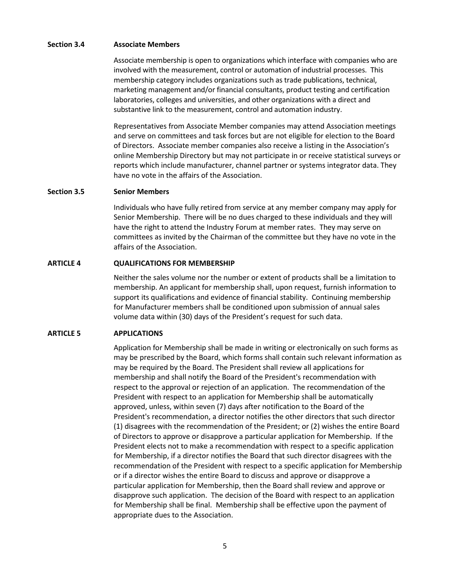#### **Section 3.4 Associate Members**

Associate membership is open to organizations which interface with companies who are involved with the measurement, control or automation of industrial processes. This membership category includes organizations such as trade publications, technical, marketing management and/or financial consultants, product testing and certification laboratories, colleges and universities, and other organizations with a direct and substantive link to the measurement, control and automation industry.

Representatives from Associate Member companies may attend Association meetings and serve on committees and task forces but are not eligible for election to the Board of Directors. Associate member companies also receive a listing in the Association's online Membership Directory but may not participate in or receive statistical surveys or reports which include manufacturer, channel partner or systems integrator data. They have no vote in the affairs of the Association.

## **Section 3.5 Senior Members**

Individuals who have fully retired from service at any member company may apply for Senior Membership. There will be no dues charged to these individuals and they will have the right to attend the Industry Forum at member rates. They may serve on committees as invited by the Chairman of the committee but they have no vote in the affairs of the Association.

## **ARTICLE 4 QUALIFICATIONS FOR MEMBERSHIP**

Neither the sales volume nor the number or extent of products shall be a limitation to membership. An applicant for membership shall, upon request, furnish information to support its qualifications and evidence of financial stability. Continuing membership for Manufacturer members shall be conditioned upon submission of annual sales volume data within (30) days of the President's request for such data.

# **ARTICLE 5 APPLICATIONS**

Application for Membership shall be made in writing or electronically on such forms as may be prescribed by the Board, which forms shall contain such relevant information as may be required by the Board. The President shall review all applications for membership and shall notify the Board of the President's recommendation with respect to the approval or rejection of an application. The recommendation of the President with respect to an application for Membership shall be automatically approved, unless, within seven (7) days after notification to the Board of the President's recommendation, a director notifies the other directors that such director (1) disagrees with the recommendation of the President; or (2) wishes the entire Board of Directors to approve or disapprove a particular application for Membership. If the President elects not to make a recommendation with respect to a specific application for Membership, if a director notifies the Board that such director disagrees with the recommendation of the President with respect to a specific application for Membership or if a director wishes the entire Board to discuss and approve or disapprove a particular application for Membership, then the Board shall review and approve or disapprove such application. The decision of the Board with respect to an application for Membership shall be final. Membership shall be effective upon the payment of appropriate dues to the Association.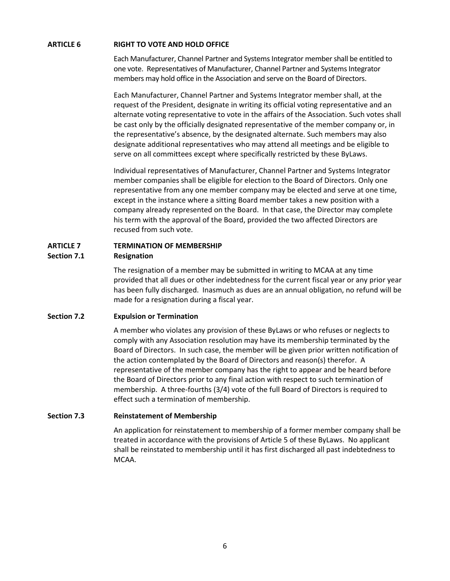## **ARTICLE 6 RIGHT TO VOTE AND HOLD OFFICE**

Each Manufacturer, Channel Partner and Systems Integrator member shall be entitled to one vote. Representatives of Manufacturer, Channel Partner and Systems Integrator members may hold office in the Association and serve on the Board of Directors.

Each Manufacturer, Channel Partner and Systems Integrator member shall, at the request of the President, designate in writing its official voting representative and an alternate voting representative to vote in the affairs of the Association. Such votes shall be cast only by the officially designated representative of the member company or, in the representative's absence, by the designated alternate. Such members may also designate additional representatives who may attend all meetings and be eligible to serve on all committees except where specifically restricted by these ByLaws.

Individual representatives of Manufacturer, Channel Partner and Systems Integrator member companies shall be eligible for election to the Board of Directors. Only one representative from any one member company may be elected and serve at one time, except in the instance where a sitting Board member takes a new position with a company already represented on the Board. In that case, the Director may complete his term with the approval of the Board, provided the two affected Directors are recused from such vote.

# **ARTICLE 7 TERMINATION OF MEMBERSHIP**

## **Section 7.1 Resignation**

The resignation of a member may be submitted in writing to MCAA at any time provided that all dues or other indebtedness for the current fiscal year or any prior year has been fully discharged. Inasmuch as dues are an annual obligation, no refund will be made for a resignation during a fiscal year.

# **Section 7.2 Expulsion or Termination**

A member who violates any provision of these ByLaws or who refuses or neglects to comply with any Association resolution may have its membership terminated by the Board of Directors. In such case, the member will be given prior written notification of the action contemplated by the Board of Directors and reason(s) therefor. A representative of the member company has the right to appear and be heard before the Board of Directors prior to any final action with respect to such termination of membership. A three-fourths (3/4) vote of the full Board of Directors is required to effect such a termination of membership.

# **Section 7.3 Reinstatement of Membership**

An application for reinstatement to membership of a former member company shall be treated in accordance with the provisions of Article 5 of these ByLaws. No applicant shall be reinstated to membership until it has first discharged all past indebtedness to MCAA.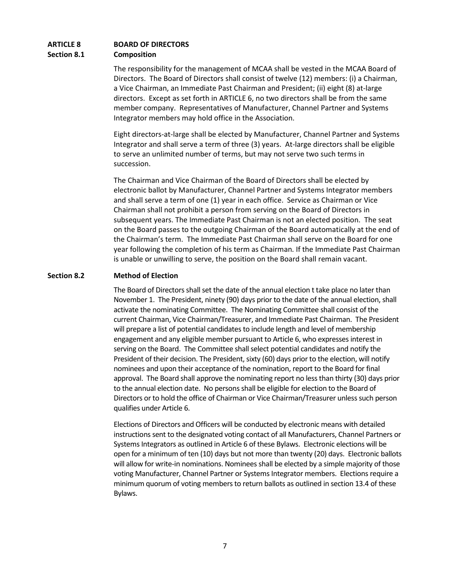# **ARTICLE 8 BOARD OF DIRECTORS Section 8.1 Composition**

The responsibility for the management of MCAA shall be vested in the MCAA Board of Directors. The Board of Directors shall consist of twelve (12) members: (i) a Chairman, a Vice Chairman, an Immediate Past Chairman and President; (ii) eight (8) at-large directors. Except as set forth in ARTICLE 6, no two directors shall be from the same member company. Representatives of Manufacturer, Channel Partner and Systems Integrator members may hold office in the Association.

Eight directors-at-large shall be elected by Manufacturer, Channel Partner and Systems Integrator and shall serve a term of three (3) years. At-large directors shall be eligible to serve an unlimited number of terms, but may not serve two such terms in succession.

The Chairman and Vice Chairman of the Board of Directors shall be elected by electronic ballot by Manufacturer, Channel Partner and Systems Integrator members and shall serve a term of one (1) year in each office. Service as Chairman or Vice Chairman shall not prohibit a person from serving on the Board of Directors in subsequent years. The Immediate Past Chairman is not an elected position. The seat on the Board passes to the outgoing Chairman of the Board automatically at the end of the Chairman's term. The Immediate Past Chairman shall serve on the Board for one year following the completion of his term as Chairman. If the Immediate Past Chairman is unable or unwilling to serve, the position on the Board shall remain vacant.

## **Section 8.2 Method of Election**

The Board of Directors shall set the date of the annual election t take place no later than November 1. The President, ninety (90) days prior to the date of the annual election, shall activate the nominating Committee. The Nominating Committee shall consist of the current Chairman, Vice Chairman/Treasurer, and Immediate Past Chairman. The President will prepare a list of potential candidates to include length and level of membership engagement and any eligible member pursuant to Article 6, who expresses interest in serving on the Board. The Committee shall select potential candidates and notify the President of their decision. The President, sixty (60) days prior to the election, will notify nominees and upon their acceptance of the nomination, report to the Board for final approval. The Board shall approve the nominating report no less than thirty (30) days prior to the annual election date. No persons shall be eligible for election to the Board of Directors or to hold the office of Chairman or Vice Chairman/Treasurer unless such person qualifies under Article 6.

Elections of Directors and Officers will be conducted by electronic means with detailed instructions sent to the designated voting contact of all Manufacturers, Channel Partners or Systems Integrators as outlined in Article 6 of these Bylaws. Electronic elections will be open for a minimum of ten (10) days but not more than twenty (20) days. Electronic ballots will allow for write-in nominations. Nominees shall be elected by a simple majority of those voting Manufacturer, Channel Partner or Systems Integrator members. Elections require a minimum quorum of voting members to return ballots as outlined in section 13.4 of these Bylaws.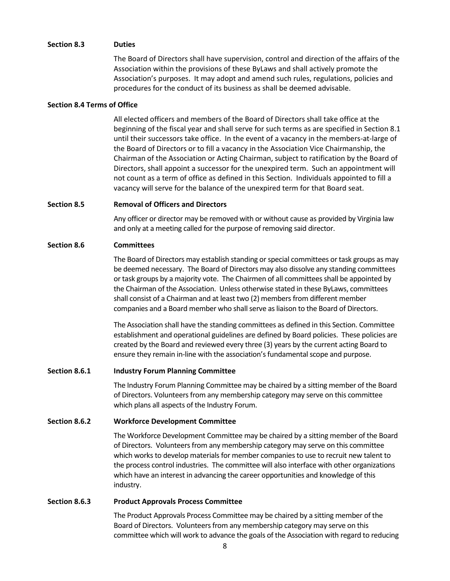#### **Section 8.3 Duties**

The Board of Directors shall have supervision, control and direction of the affairs of the Association within the provisions of these ByLaws and shall actively promote the Association's purposes. It may adopt and amend such rules, regulations, policies and procedures for the conduct of its business as shall be deemed advisable.

#### **Section 8.4 Terms of Office**

All elected officers and members of the Board of Directors shall take office at the beginning of the fiscal year and shall serve for such terms as are specified in Section 8.1 until their successors take office. In the event of a vacancy in the members-at-large of the Board of Directors or to fill a vacancy in the Association Vice Chairmanship, the Chairman of the Association or Acting Chairman, subject to ratification by the Board of Directors, shall appoint a successor for the unexpired term. Such an appointment will not count as a term of office as defined in this Section. Individuals appointed to fill a vacancy will serve for the balance of the unexpired term for that Board seat.

## **Section 8.5 Removal of Officers and Directors**

Any officer or director may be removed with or without cause as provided by Virginia law and only at a meeting called for the purpose of removing said director.

## **Section 8.6 Committees**

The Board of Directors may establish standing or special committees or task groups as may be deemed necessary. The Board of Directors may also dissolve any standing committees or task groups by a majority vote. The Chairmen of all committees shall be appointed by the Chairman of the Association. Unless otherwise stated in these ByLaws, committees shall consist of a Chairman and at least two (2) members from different member companies and a Board member who shall serve as liaison to the Board of Directors.

The Association shall have the standing committees as defined in this Section. Committee establishment and operational guidelines are defined by Board policies. These policies are created by the Board and reviewed every three (3) years by the current acting Board to ensure they remain in-line with the association's fundamental scope and purpose.

#### **Section 8.6.1 Industry Forum Planning Committee**

The Industry Forum Planning Committee may be chaired by a sitting member of the Board of Directors. Volunteers from any membership category may serve on this committee which plans all aspects of the Industry Forum.

# **Section 8.6.2 Workforce Development Committee**

The Workforce Development Committee may be chaired by a sitting member of the Board of Directors. Volunteers from any membership category may serve on this committee which works to develop materials for member companies to use to recruit new talent to the process control industries. The committee will also interface with other organizations which have an interest in advancing the career opportunities and knowledge of this industry.

#### **Section 8.6.3 Product Approvals Process Committee**

The Product Approvals Process Committee may be chaired by a sitting member of the Board of Directors. Volunteers from any membership category may serve on this committee which will work to advance the goals of the Association with regard to reducing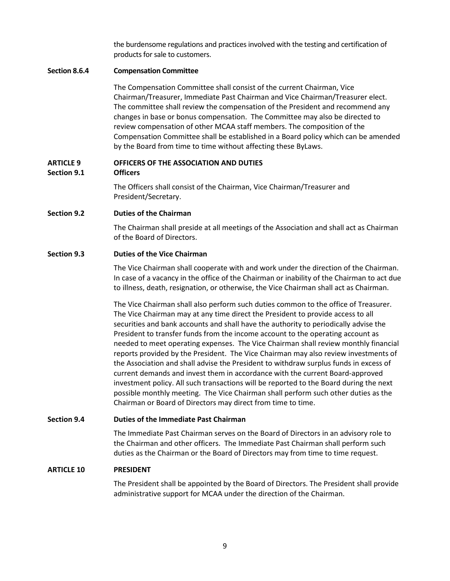the burdensome regulations and practices involved with the testing and certification of products for sale to customers.

#### **Section 8.6.4 Compensation Committee**

The Compensation Committee shall consist of the current Chairman, Vice Chairman/Treasurer, Immediate Past Chairman and Vice Chairman/Treasurer elect. The committee shall review the compensation of the President and recommend any changes in base or bonus compensation. The Committee may also be directed to review compensation of other MCAA staff members. The composition of the Compensation Committee shall be established in a Board policy which can be amended by the Board from time to time without affecting these ByLaws.

# **ARTICLE 9 OFFICERS OF THE ASSOCIATION AND DUTIES**

**Section 9.1 Officers**

The Officers shall consist of the Chairman, Vice Chairman/Treasurer and President/Secretary.

**Section 9.2 Duties of the Chairman**

The Chairman shall preside at all meetings of the Association and shall act as Chairman of the Board of Directors.

## **Section 9.3 Duties of the Vice Chairman**

The Vice Chairman shall cooperate with and work under the direction of the Chairman. In case of a vacancy in the office of the Chairman or inability of the Chairman to act due to illness, death, resignation, or otherwise, the Vice Chairman shall act as Chairman.

The Vice Chairman shall also perform such duties common to the office of Treasurer. The Vice Chairman may at any time direct the President to provide access to all securities and bank accounts and shall have the authority to periodically advise the President to transfer funds from the income account to the operating account as needed to meet operating expenses. The Vice Chairman shall review monthly financial reports provided by the President. The Vice Chairman may also review investments of the Association and shall advise the President to withdraw surplus funds in excess of current demands and invest them in accordance with the current Board-approved investment policy. All such transactions will be reported to the Board during the next possible monthly meeting. The Vice Chairman shall perform such other duties as the Chairman or Board of Directors may direct from time to time.

# **Section 9.4 Duties of the Immediate Past Chairman**

The Immediate Past Chairman serves on the Board of Directors in an advisory role to the Chairman and other officers. The Immediate Past Chairman shall perform such duties as the Chairman or the Board of Directors may from time to time request.

#### **ARTICLE 10 PRESIDENT**

The President shall be appointed by the Board of Directors. The President shall provide administrative support for MCAA under the direction of the Chairman.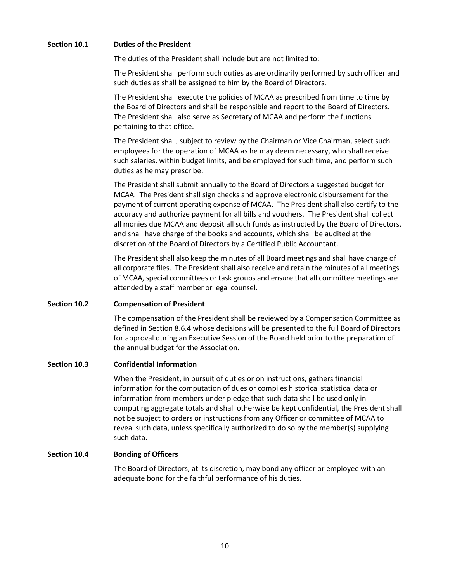## **Section 10.1 Duties of the President**

The duties of the President shall include but are not limited to:

The President shall perform such duties as are ordinarily performed by such officer and such duties as shall be assigned to him by the Board of Directors.

The President shall execute the policies of MCAA as prescribed from time to time by the Board of Directors and shall be responsible and report to the Board of Directors. The President shall also serve as Secretary of MCAA and perform the functions pertaining to that office.

The President shall, subject to review by the Chairman or Vice Chairman, select such employees for the operation of MCAA as he may deem necessary, who shall receive such salaries, within budget limits, and be employed for such time, and perform such duties as he may prescribe.

The President shall submit annually to the Board of Directors a suggested budget for MCAA. The President shall sign checks and approve electronic disbursement for the payment of current operating expense of MCAA. The President shall also certify to the accuracy and authorize payment for all bills and vouchers. The President shall collect all monies due MCAA and deposit all such funds as instructed by the Board of Directors, and shall have charge of the books and accounts, which shall be audited at the discretion of the Board of Directors by a Certified Public Accountant.

The President shall also keep the minutes of all Board meetings and shall have charge of all corporate files. The President shall also receive and retain the minutes of all meetings of MCAA, special committees or task groups and ensure that all committee meetings are attended by a staff member or legal counsel.

#### **Section 10.2 Compensation of President**

The compensation of the President shall be reviewed by a Compensation Committee as defined in Section 8.6.4 whose decisions will be presented to the full Board of Directors for approval during an Executive Session of the Board held prior to the preparation of the annual budget for the Association.

#### **Section 10.3 Confidential Information**

When the President, in pursuit of duties or on instructions, gathers financial information for the computation of dues or compiles historical statistical data or information from members under pledge that such data shall be used only in computing aggregate totals and shall otherwise be kept confidential, the President shall not be subject to orders or instructions from any Officer or committee of MCAA to reveal such data, unless specifically authorized to do so by the member(s) supplying such data.

#### **Section 10.4 Bonding of Officers**

The Board of Directors, at its discretion, may bond any officer or employee with an adequate bond for the faithful performance of his duties.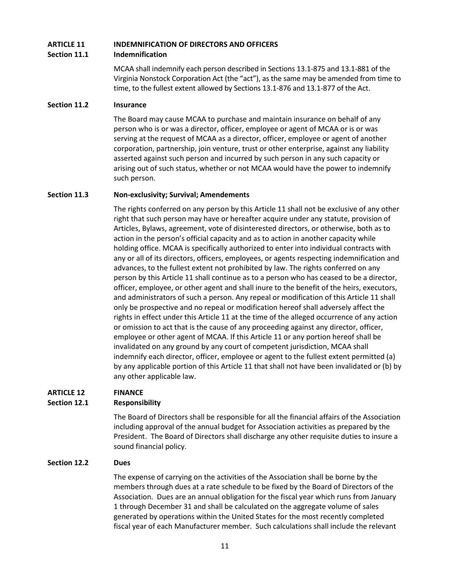# **ARTICLE 11 INDEMNIFICATION OF DIRECTORS AND OFFICERS Section 11.1 Indemnification**

MCAA shall indemnify each person described in Sections 13.1-875 and 13.1-881 of the Virginia Nonstock Corporation Act (the "act"), as the same may be amended from time to time, to the fullest extent allowed by Sections 13.1-876 and 13.1-877 of the Act.

## **Section 11.2 Insurance**

The Board may cause MCAA to purchase and maintain insurance on behalf of any person who is or was a director, officer, employee or agent of MCAA or is or was serving at the request of MCAA as a director, officer, employee or agent of another corporation, partnership, join venture, trust or other enterprise, against any liability asserted against such person and incurred by such person in any such capacity or arising out of such status, whether or not MCAA would have the power to indemnify such person.

## **Section 11.3 Non-exclusivity; Survival; Amendements**

The rights conferred on any person by this Article 11 shall not be exclusive of any other right that such person may have or hereafter acquire under any statute, provision of Articles, Bylaws, agreement, vote of disinterested directors, or otherwise, both as to action in the person's official capacity and as to action in another capacity while holding office. MCAA is specifically authorized to enter into individual contracts with any or all of its directors, officers, employees, or agents respecting indemnification and advances, to the fullest extent not prohibited by law. The rights conferred on any person by this Article 11 shall continue as to a person who has ceased to be a director, officer, employee, or other agent and shall inure to the benefit of the heirs, executors, and administrators of such a person. Any repeal or modification of this Article 11 shall only be prospective and no repeal or modification hereof shall adversely affect the rights in effect under this Article 11 at the time of the alleged occurrence of any action or omission to act that is the cause of any proceeding against any director, officer, employee or other agent of MCAA. If this Article 11 or any portion hereof shall be invalidated on any ground by any court of competent jurisdiction, MCAA shall indemnify each director, officer, employee or agent to the fullest extent permitted (a) by any applicable portion of this Article 11 that shall not have been invalidated or (b) by any other applicable law.

# **ARTICLE 12 FINANCE**

# **Section 12.1 Responsibility**

The Board of Directors shall be responsible for all the financial affairs of the Association including approval of the annual budget for Association activities as prepared by the President. The Board of Directors shall discharge any other requisite duties to insure a sound financial policy.

# **Section 12.2 Dues**

The expense of carrying on the activities of the Association shall be borne by the members through dues at a rate schedule to be fixed by the Board of Directors of the Association. Dues are an annual obligation for the fiscal year which runs from January 1 through December 31 and shall be calculated on the aggregate volume of sales generated by operations within the United States for the most recently completed fiscal year of each Manufacturer member. Such calculations shall include the relevant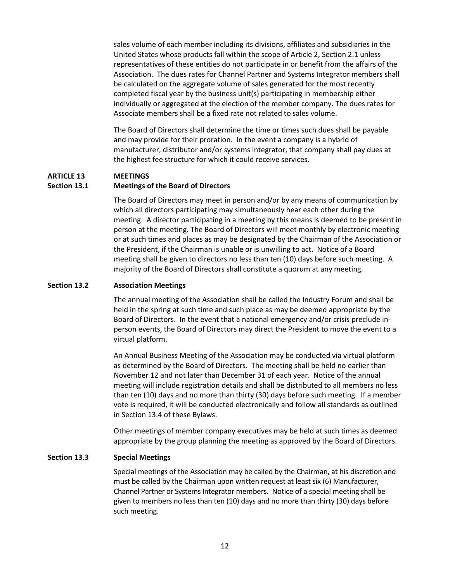sales volume of each member including its divisions, affiliates and subsidiaries in the United States whose products fall within the scope of Article 2, Section 2.1 unless representatives of these entities do not participate in or benefit from the affairs of the Association. The dues rates for Channel Partner and Systems Integrator members shall be calculated on the aggregate volume of sales generated for the most recently completed fiscal year by the business unit(s) participating in membership either individually or aggregated at the election of the member company. The dues rates for Associate members shall be a fixed rate not related to sales volume.

The Board of Directors shall determine the time or times such dues shall be payable and may provide for their proration. In the event a company is a hybrid of manufacturer, distributor and/or systems integrator, that company shall pay dues at the highest fee structure for which it could receive services.

#### **ARTICLE 13 MEETINGS**

#### **Section 13.1 Meetings of the Board of Directors**

The Board of Directors may meet in person and/or by any means of communication by which all directors participating may simultaneously hear each other during the meeting. A director participating in a meeting by this means is deemed to be present in person at the meeting. The Board of Directors will meet monthly by electronic meeting or at such times and places as may be designated by the Chairman of the Association or the President, if the Chairman is unable or is unwilling to act. Notice of a Board meeting shall be given to directors no less than ten (10) days before such meeting. A majority of the Board of Directors shall constitute a quorum at any meeting.

#### **Section 13.2 Association Meetings**

The annual meeting of the Association shall be called the Industry Forum and shall be held in the spring at such time and such place as may be deemed appropriate by the Board of Directors. In the event that a national emergency and/or crisis preclude inperson events, the Board of Directors may direct the President to move the event to a virtual platform.

An Annual Business Meeting of the Association may be conducted via virtual platform as determined by the Board of Directors. The meeting shall be held no earlier than November 12 and not later than December 31 of each year. Notice of the annual meeting will include registration details and shall be distributed to all members no less than ten (10) days and no more than thirty (30) days before such meeting. If a member vote is required, it will be conducted electronically and follow all standards as outlined in Section 13.4 of these Bylaws.

Other meetings of member company executives may be held at such times as deemed appropriate by the group planning the meeting as approved by the Board of Directors.

#### **Section 13.3 Special Meetings**

Special meetings of the Association may be called by the Chairman, at his discretion and must be called by the Chairman upon written request at least six (6) Manufacturer, Channel Partner or Systems Integrator members. Notice of a special meeting shall be given to members no less than ten (10) days and no more than thirty (30) days before such meeting.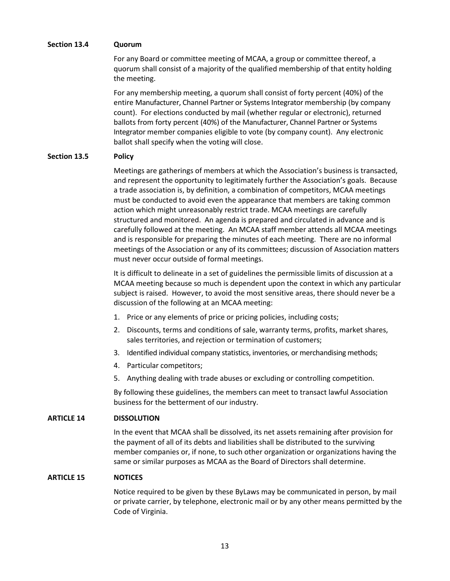## **Section 13.4 Quorum**

For any Board or committee meeting of MCAA, a group or committee thereof, a quorum shall consist of a majority of the qualified membership of that entity holding the meeting.

For any membership meeting, a quorum shall consist of forty percent (40%) of the entire Manufacturer, Channel Partner or Systems Integrator membership (by company count). For elections conducted by mail (whether regular or electronic), returned ballots from forty percent (40%) of the Manufacturer, Channel Partner or Systems Integrator member companies eligible to vote (by company count). Any electronic ballot shall specify when the voting will close.

## **Section 13.5 Policy**

Meetings are gatherings of members at which the Association's business is transacted, and represent the opportunity to legitimately further the Association's goals. Because a trade association is, by definition, a combination of competitors, MCAA meetings must be conducted to avoid even the appearance that members are taking common action which might unreasonably restrict trade. MCAA meetings are carefully structured and monitored. An agenda is prepared and circulated in advance and is carefully followed at the meeting. An MCAA staff member attends all MCAA meetings and is responsible for preparing the minutes of each meeting. There are no informal meetings of the Association or any of its committees; discussion of Association matters must never occur outside of formal meetings.

It is difficult to delineate in a set of guidelines the permissible limits of discussion at a MCAA meeting because so much is dependent upon the context in which any particular subject is raised. However, to avoid the most sensitive areas, there should never be a discussion of the following at an MCAA meeting:

- 1. Price or any elements of price or pricing policies, including costs;
- 2. Discounts, terms and conditions of sale, warranty terms, profits, market shares, sales territories, and rejection or termination of customers;
- 3. Identified individual company statistics, inventories, or merchandising methods;
- 4. Particular competitors;
- 5. Anything dealing with trade abuses or excluding or controlling competition.

By following these guidelines, the members can meet to transact lawful Association business for the betterment of our industry.

#### **ARTICLE 14 DISSOLUTION**

In the event that MCAA shall be dissolved, its net assets remaining after provision for the payment of all of its debts and liabilities shall be distributed to the surviving member companies or, if none, to such other organization or organizations having the same or similar purposes as MCAA as the Board of Directors shall determine.

#### **ARTICLE 15 NOTICES**

Notice required to be given by these ByLaws may be communicated in person, by mail or private carrier, by telephone, electronic mail or by any other means permitted by the Code of Virginia.